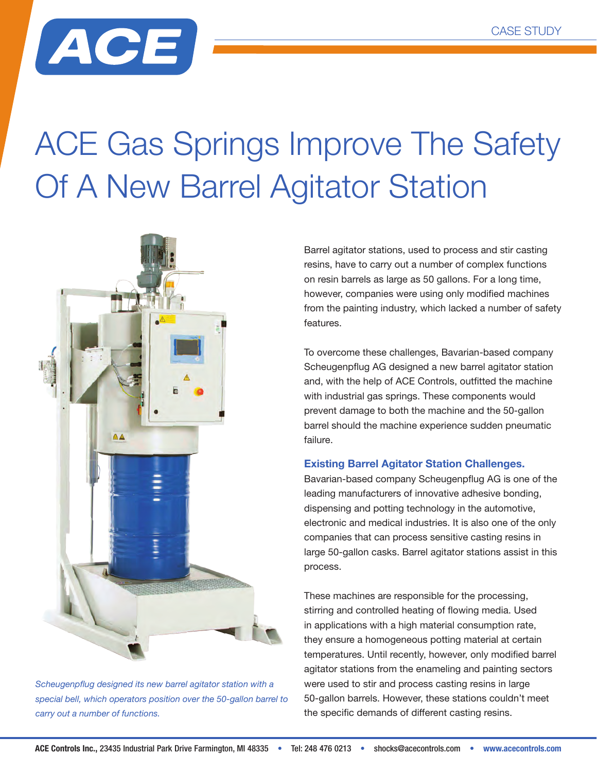

## ACE Gas Springs Improve The Safety Of A New Barrel Agitator Station



*Scheugenpflug designed its new barrel agitator station with a special bell, which operators position over the 50-gallon barrel to carry out a number of functions.*

Barrel agitator stations, used to process and stir casting resins, have to carry out a number of complex functions on resin barrels as large as 50 gallons. For a long time, however, companies were using only modified machines from the painting industry, which lacked a number of safety features.

To overcome these challenges, Bavarian-based company Scheugenpflug AG designed a new barrel agitator station and, with the help of ACE Controls, outfitted the machine with industrial gas springs. These components would prevent damage to both the machine and the 50-gallon barrel should the machine experience sudden pneumatic failure.

## **Existing Barrel Agitator Station Challenges.**

Bavarian-based company Scheugenpflug AG is one of the leading manufacturers of innovative adhesive bonding, dispensing and potting technology in the automotive, electronic and medical industries. It is also one of the only companies that can process sensitive casting resins in large 50-gallon casks. Barrel agitator stations assist in this process.

These machines are responsible for the processing, stirring and controlled heating of flowing media. Used in applications with a high material consumption rate, they ensure a homogeneous potting material at certain temperatures. Until recently, however, only modified barrel agitator stations from the enameling and painting sectors were used to stir and process casting resins in large 50-gallon barrels. However, these stations couldn't meet the specific demands of different casting resins.